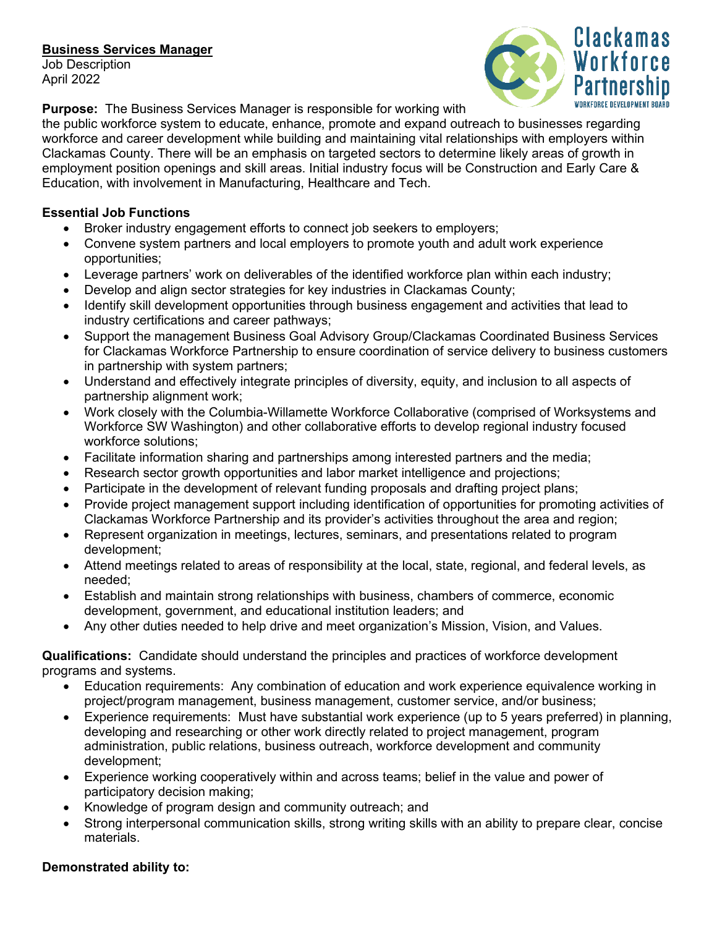# **Business Services Manager**

Job Description April 2022



**Purpose:** The Business Services Manager is responsible for working with

the public workforce system to educate, enhance, promote and expand outreach to businesses regarding workforce and career development while building and maintaining vital relationships with employers within Clackamas County. There will be an emphasis on targeted sectors to determine likely areas of growth in employment position openings and skill areas. Initial industry focus will be Construction and Early Care & Education, with involvement in Manufacturing, Healthcare and Tech.

## **Essential Job Functions**

- Broker industry engagement efforts to connect job seekers to employers;
- Convene system partners and local employers to promote youth and adult work experience opportunities;
- Leverage partners' work on deliverables of the identified workforce plan within each industry;
- Develop and align sector strategies for key industries in Clackamas County;
- Identify skill development opportunities through business engagement and activities that lead to industry certifications and career pathways;
- Support the management Business Goal Advisory Group/Clackamas Coordinated Business Services for Clackamas Workforce Partnership to ensure coordination of service delivery to business customers in partnership with system partners;
- Understand and effectively integrate principles of diversity, equity, and inclusion to all aspects of partnership alignment work;
- Work closely with the Columbia-Willamette Workforce Collaborative (comprised of Worksystems and Workforce SW Washington) and other collaborative efforts to develop regional industry focused workforce solutions;
- Facilitate information sharing and partnerships among interested partners and the media;
- Research sector growth opportunities and labor market intelligence and projections;
- Participate in the development of relevant funding proposals and drafting project plans;
- Provide project management support including identification of opportunities for promoting activities of Clackamas Workforce Partnership and its provider's activities throughout the area and region;
- Represent organization in meetings, lectures, seminars, and presentations related to program development;
- Attend meetings related to areas of responsibility at the local, state, regional, and federal levels, as needed;
- Establish and maintain strong relationships with business, chambers of commerce, economic development, government, and educational institution leaders; and
- Any other duties needed to help drive and meet organization's Mission, Vision, and Values.

**Qualifications:** Candidate should understand the principles and practices of workforce development programs and systems.

- Education requirements: Any combination of education and work experience equivalence working in project/program management, business management, customer service, and/or business;
- Experience requirements: Must have substantial work experience (up to 5 years preferred) in planning, developing and researching or other work directly related to project management, program administration, public relations, business outreach, workforce development and community development;
- Experience working cooperatively within and across teams; belief in the value and power of participatory decision making;
- Knowledge of program design and community outreach; and
- Strong interpersonal communication skills, strong writing skills with an ability to prepare clear, concise materials.

### **Demonstrated ability to:**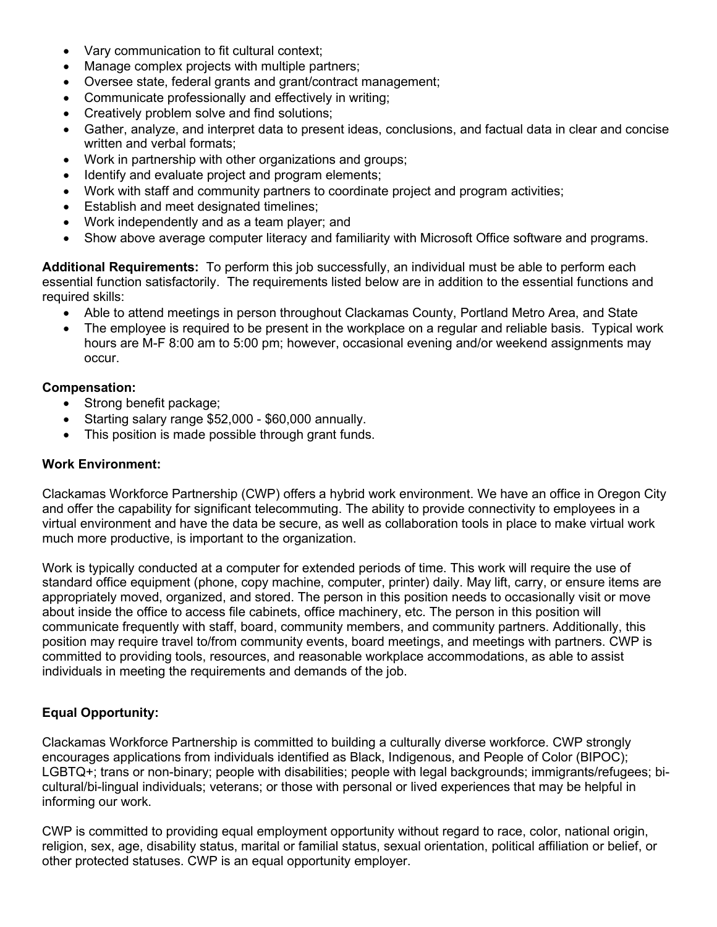- Vary communication to fit cultural context;
- Manage complex projects with multiple partners;
- Oversee state, federal grants and grant/contract management;
- Communicate professionally and effectively in writing;
- Creatively problem solve and find solutions;
- Gather, analyze, and interpret data to present ideas, conclusions, and factual data in clear and concise written and verbal formats;
- Work in partnership with other organizations and groups;
- Identify and evaluate project and program elements;
- Work with staff and community partners to coordinate project and program activities;
- Establish and meet designated timelines;
- Work independently and as a team player; and
- Show above average computer literacy and familiarity with Microsoft Office software and programs.

**Additional Requirements:** To perform this job successfully, an individual must be able to perform each essential function satisfactorily. The requirements listed below are in addition to the essential functions and required skills:

- Able to attend meetings in person throughout Clackamas County, Portland Metro Area, and State
- The employee is required to be present in the workplace on a reqular and reliable basis. Typical work hours are M-F 8:00 am to 5:00 pm; however, occasional evening and/or weekend assignments may occur.

### **Compensation:**

- Strong benefit package;
- Starting salary range \$52,000 \$60,000 annually.
- This position is made possible through grant funds.

#### **Work Environment:**

Clackamas Workforce Partnership (CWP) offers a hybrid work environment. We have an office in Oregon City and offer the capability for significant telecommuting. The ability to provide connectivity to employees in a virtual environment and have the data be secure, as well as collaboration tools in place to make virtual work much more productive, is important to the organization.

Work is typically conducted at a computer for extended periods of time. This work will require the use of standard office equipment (phone, copy machine, computer, printer) daily. May lift, carry, or ensure items are appropriately moved, organized, and stored. The person in this position needs to occasionally visit or move about inside the office to access file cabinets, office machinery, etc. The person in this position will communicate frequently with staff, board, community members, and community partners. Additionally, this position may require travel to/from community events, board meetings, and meetings with partners. CWP is committed to providing tools, resources, and reasonable workplace accommodations, as able to assist individuals in meeting the requirements and demands of the job.

### **Equal Opportunity:**

Clackamas Workforce Partnership is committed to building a culturally diverse workforce. CWP strongly encourages applications from individuals identified as Black, Indigenous, and People of Color (BIPOC); LGBTQ+; trans or non-binary; people with disabilities; people with legal backgrounds; immigrants/refugees; bicultural/bi-lingual individuals; veterans; or those with personal or lived experiences that may be helpful in informing our work.

CWP is committed to providing equal employment opportunity without regard to race, color, national origin, religion, sex, age, disability status, marital or familial status, sexual orientation, political affiliation or belief, or other protected statuses. CWP is an equal opportunity employer.